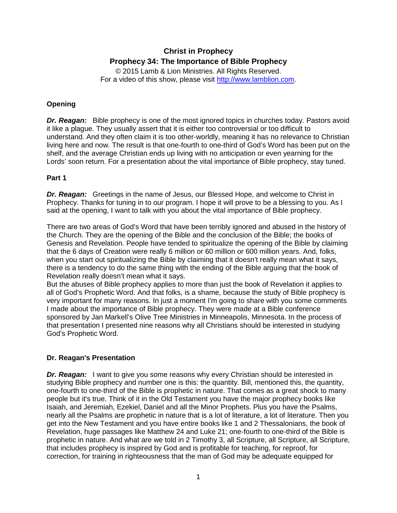# **Christ in Prophecy Prophecy 34: The Importance of Bible Prophecy**

© 2015 Lamb & Lion Ministries. All Rights Reserved. For a video of this show, please visit [http://www.lamblion.com.](http://www.lamblion.com/)

## **Opening**

*Dr. Reagan:* Bible prophecy is one of the most ignored topics in churches today. Pastors avoid it like a plague. They usually assert that it is either too controversial or too difficult to understand. And they often claim it is too other-worldly, meaning it has no relevance to Christian living here and now. The result is that one-fourth to one-third of God's Word has been put on the shelf, and the average Christian ends up living with no anticipation or even yearning for the Lords' soon return. For a presentation about the vital importance of Bible prophecy, stay tuned.

#### **Part 1**

*Dr. Reagan:* Greetings in the name of Jesus, our Blessed Hope, and welcome to Christ in Prophecy. Thanks for tuning in to our program. I hope it will prove to be a blessing to you. As I said at the opening, I want to talk with you about the vital importance of Bible prophecy.

There are two areas of God's Word that have been terribly ignored and abused in the history of the Church. They are the opening of the Bible and the conclusion of the Bible; the books of Genesis and Revelation. People have tended to spiritualize the opening of the Bible by claiming that the 6 days of Creation were really 6 million or 60 million or 600 million years. And, folks, when you start out spiritualizing the Bible by claiming that it doesn't really mean what it says, there is a tendency to do the same thing with the ending of the Bible arguing that the book of Revelation really doesn't mean what it says.

But the abuses of Bible prophecy applies to more than just the book of Revelation it applies to all of God's Prophetic Word. And that folks, is a shame, because the study of Bible prophecy is very important for many reasons. In just a moment I'm going to share with you some comments I made about the importance of Bible prophecy. They were made at a Bible conference sponsored by Jan Markell's Olive Tree Ministries in Minneapolis, Minnesota. In the process of that presentation I presented nine reasons why all Christians should be interested in studying God's Prophetic Word.

## **Dr. Reagan's Presentation**

*Dr. Reagan:* I want to give you some reasons why every Christian should be interested in studying Bible prophecy and number one is this: the quantity. Bill, mentioned this, the quantity, one-fourth to one-third of the Bible is prophetic in nature. That comes as a great shock to many people but it's true. Think of it in the Old Testament you have the major prophecy books like Isaiah, and Jeremiah, Ezekiel, Daniel and all the Minor Prophets. Plus you have the Psalms, nearly all the Psalms are prophetic in nature that is a lot of literature, a lot of literature. Then you get into the New Testament and you have entire books like 1 and 2 Thessalonians, the book of Revelation, huge passages like Matthew 24 and Luke 21; one-fourth to one-third of the Bible is prophetic in nature. And what are we told in 2 Timothy 3, all Scripture, all Scripture, all Scripture, that includes prophecy is inspired by God and is profitable for teaching, for reproof, for correction, for training in righteousness that the man of God may be adequate equipped for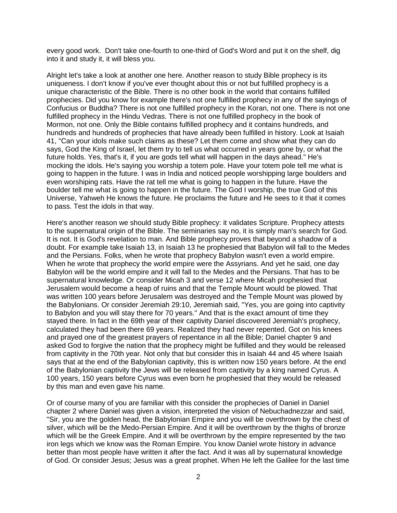every good work. Don't take one-fourth to one-third of God's Word and put it on the shelf, dig into it and study it, it will bless you.

Alright let's take a look at another one here. Another reason to study Bible prophecy is its uniqueness. I don't know if you've ever thought about this or not but fulfilled prophecy is a unique characteristic of the Bible. There is no other book in the world that contains fulfilled prophecies. Did you know for example there's not one fulfilled prophecy in any of the sayings of Confucius or Buddha? There is not one fulfilled prophecy in the Koran, not one. There is not one fulfilled prophecy in the Hindu Vedras. There is not one fulfilled prophecy in the book of Mormon, not one. Only the Bible contains fulfilled prophecy and it contains hundreds, and hundreds and hundreds of prophecies that have already been fulfilled in history. Look at Isaiah 41, "Can your idols make such claims as these? Let them come and show what they can do says, God the King of Israel, let them try to tell us what occurred in years gone by, or what the future holds. Yes, that's it, if you are gods tell what will happen in the days ahead." He's mocking the idols. He's saying you worship a totem pole. Have your totem pole tell me what is going to happen in the future. I was in India and noticed people worshipping large boulders and even worshiping rats. Have the rat tell me what is going to happen in the future. Have the boulder tell me what is going to happen in the future. The God I worship, the true God of this Universe, Yahweh He knows the future. He proclaims the future and He sees to it that it comes to pass. Test the idols in that way.

Here's another reason we should study Bible prophecy: it validates Scripture. Prophecy attests to the supernatural origin of the Bible. The seminaries say no, it is simply man's search for God. It is not. It is God's revelation to man. And Bible prophecy proves that beyond a shadow of a doubt. For example take Isaiah 13, in Isaiah 13 he prophesied that Babylon will fall to the Medes and the Persians. Folks, when he wrote that prophecy Babylon wasn't even a world empire. When he wrote that prophecy the world empire were the Assyrians. And yet he said, one day Babylon will be the world empire and it will fall to the Medes and the Persians. That has to be supernatural knowledge. Or consider Micah 3 and verse 12 where Micah prophesied that Jerusalem would become a heap of ruins and that the Temple Mount would be plowed. That was written 100 years before Jerusalem was destroyed and the Temple Mount was plowed by the Babylonians. Or consider Jeremiah 29:10, Jeremiah said, "Yes, you are going into captivity to Babylon and you will stay there for 70 years." And that is the exact amount of time they stayed there. In fact in the 69th year of their captivity Daniel discovered Jeremiah's prophecy, calculated they had been there 69 years. Realized they had never repented. Got on his knees and prayed one of the greatest prayers of repentance in all the Bible; Daniel chapter 9 and asked God to forgive the nation that the prophecy might be fulfilled and they would be released from captivity in the 70th year. Not only that but consider this in Isaiah 44 and 45 where Isaiah says that at the end of the Babylonian captivity, this is written now 150 years before. At the end of the Babylonian captivity the Jews will be released from captivity by a king named Cyrus. A 100 years, 150 years before Cyrus was even born he prophesied that they would be released by this man and even gave his name.

Or of course many of you are familiar with this consider the prophecies of Daniel in Daniel chapter 2 where Daniel was given a vision, interpreted the vision of Nebuchadnezzar and said, "Sir, you are the golden head, the Babylonian Empire and you will be overthrown by the chest of silver, which will be the Medo-Persian Empire. And it will be overthrown by the thighs of bronze which will be the Greek Empire. And it will be overthrown by the empire represented by the two iron legs which we know was the Roman Empire. You know Daniel wrote history in advance better than most people have written it after the fact. And it was all by supernatural knowledge of God. Or consider Jesus; Jesus was a great prophet. When He left the Galilee for the last time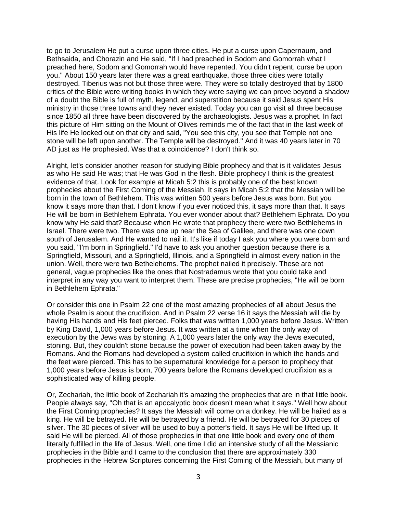to go to Jerusalem He put a curse upon three cities. He put a curse upon Capernaum, and Bethsaida, and Chorazin and He said, "If I had preached in Sodom and Gomorrah what I preached here, Sodom and Gomorrah would have repented. You didn't repent, curse be upon you." About 150 years later there was a great earthquake, those three cities were totally destroyed. Tiberius was not but those three were. They were so totally destroyed that by 1800 critics of the Bible were writing books in which they were saying we can prove beyond a shadow of a doubt the Bible is full of myth, legend, and superstition because it said Jesus spent His ministry in those three towns and they never existed. Today you can go visit all three because since 1850 all three have been discovered by the archaeologists. Jesus was a prophet. In fact this picture of Him sitting on the Mount of Olives reminds me of the fact that in the last week of His life He looked out on that city and said, "You see this city, you see that Temple not one stone will be left upon another. The Temple will be destroyed." And it was 40 years later in 70 AD just as He prophesied. Was that a coincidence? I don't think so.

Alright, let's consider another reason for studying Bible prophecy and that is it validates Jesus as who He said He was; that He was God in the flesh. Bible prophecy I think is the greatest evidence of that. Look for example at Micah 5:2 this is probably one of the best known prophecies about the First Coming of the Messiah. It says in Micah 5:2 that the Messiah will be born in the town of Bethlehem. This was written 500 years before Jesus was born. But you know it says more than that. I don't know if you ever noticed this, it says more than that. It says He will be born in Bethlehem Ephrata. You ever wonder about that? Bethlehem Ephrata. Do you know why He said that? Because when He wrote that prophecy there were two Bethlehems in Israel. There were two. There was one up near the Sea of Galilee, and there was one down south of Jerusalem. And He wanted to nail it. It's like if today I ask you where you were born and you said, "I'm born in Springfield." I'd have to ask you another question because there is a Springfield, Missouri, and a Springfield, Illinois, and a Springfield in almost every nation in the union. Well, there were two Bethelehems. The prophet nailed it precisely. These are not general, vague prophecies like the ones that Nostradamus wrote that you could take and interpret in any way you want to interpret them. These are precise prophecies, "He will be born in Bethlehem Ephrata."

Or consider this one in Psalm 22 one of the most amazing prophecies of all about Jesus the whole Psalm is about the crucifixion. And in Psalm 22 verse 16 it says the Messiah will die by having His hands and His feet pierced. Folks that was written 1,000 years before Jesus. Written by King David, 1,000 years before Jesus. It was written at a time when the only way of execution by the Jews was by stoning. A 1,000 years later the only way the Jews executed, stoning. But, they couldn't stone because the power of execution had been taken away by the Romans. And the Romans had developed a system called crucifixion in which the hands and the feet were pierced. This has to be supernatural knowledge for a person to prophecy that 1,000 years before Jesus is born, 700 years before the Romans developed crucifixion as a sophisticated way of killing people.

Or, Zechariah, the little book of Zechariah it's amazing the prophecies that are in that little book. People always say, "Oh that is an apocalyptic book doesn't mean what it says." Well how about the First Coming prophecies? It says the Messiah will come on a donkey. He will be hailed as a king. He will be betrayed. He will be betrayed by a friend. He will be betrayed for 30 pieces of silver. The 30 pieces of silver will be used to buy a potter's field. It says He will be lifted up. It said He will be pierced. All of those prophecies in that one little book and every one of them literally fulfilled in the life of Jesus. Well, one time I did an intensive study of all the Messianic prophecies in the Bible and I came to the conclusion that there are approximately 330 prophecies in the Hebrew Scriptures concerning the First Coming of the Messiah, but many of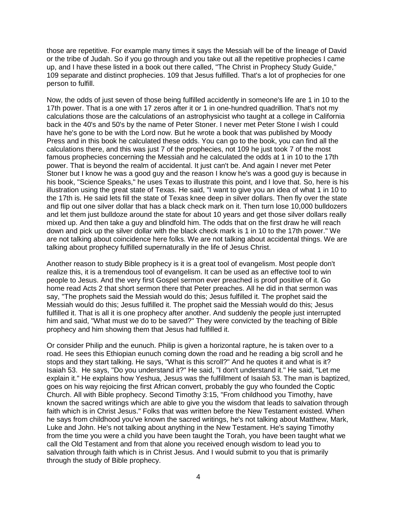those are repetitive. For example many times it says the Messiah will be of the lineage of David or the tribe of Judah. So if you go through and you take out all the repetitive prophecies I came up, and I have these listed in a book out there called, "The Christ in Prophecy Study Guide," 109 separate and distinct prophecies. 109 that Jesus fulfilled. That's a lot of prophecies for one person to fulfill.

Now, the odds of just seven of those being fulfilled accidently in someone's life are 1 in 10 to the 17th power. That is a one with 17 zeros after it or 1 in one-hundred quadrillion. That's not my calculations those are the calculations of an astrophysicist who taught at a college in California back in the 40's and 50's by the name of Peter Stoner. I never met Peter Stone I wish I could have he's gone to be with the Lord now. But he wrote a book that was published by Moody Press and in this book he calculated these odds. You can go to the book, you can find all the calculations there, and this was just 7 of the prophecies, not 109 he just took 7 of the most famous prophecies concerning the Messiah and he calculated the odds at 1 in 10 to the 17th power. That is beyond the realm of accidental. It just can't be. And again I never met Peter Stoner but I know he was a good guy and the reason I know he's was a good guy is because in his book, "Science Speaks," he uses Texas to illustrate this point, and I love that. So, here is his illustration using the great state of Texas. He said, "I want to give you an idea of what 1 in 10 to the 17th is. He said lets fill the state of Texas knee deep in silver dollars. Then fly over the state and flip out one silver dollar that has a black check mark on it. Then turn lose 10,000 bulldozers and let them just bulldoze around the state for about 10 years and get those silver dollars really mixed up. And then take a guy and blindfold him. The odds that on the first draw he will reach down and pick up the silver dollar with the black check mark is 1 in 10 to the 17th power." We are not talking about coincidence here folks. We are not talking about accidental things. We are talking about prophecy fulfilled supernaturally in the life of Jesus Christ.

Another reason to study Bible prophecy is it is a great tool of evangelism. Most people don't realize this, it is a tremendous tool of evangelism. It can be used as an effective tool to win people to Jesus. And the very first Gospel sermon ever preached is proof positive of it. Go home read Acts 2 that short sermon there that Peter preaches. All he did in that sermon was say, "The prophets said the Messiah would do this; Jesus fulfilled it. The prophet said the Messiah would do this; Jesus fulfilled it. The prophet said the Messiah would do this; Jesus fulfilled it. That is all it is one prophecy after another. And suddenly the people just interrupted him and said, "What must we do to be saved?" They were convicted by the teaching of Bible prophecy and him showing them that Jesus had fulfilled it.

Or consider Philip and the eunuch. Philip is given a horizontal rapture, he is taken over to a road. He sees this Ethiopian eunuch coming down the road and he reading a big scroll and he stops and they start talking. He says, "What is this scroll?" And he quotes it and what is it? Isaiah 53. He says, "Do you understand it?" He said, "I don't understand it." He said, "Let me explain it." He explains how Yeshua, Jesus was the fulfillment of Isaiah 53. The man is baptized, goes on his way rejoicing the first African convert, probably the guy who founded the Coptic Church. All with Bible prophecy. Second Timothy 3:15, "From childhood you Timothy, have known the sacred writings which are able to give you the wisdom that leads to salvation through faith which is in Christ Jesus." Folks that was written before the New Testament existed. When he says from childhood you've known the sacred writings, he's not talking about Matthew, Mark, Luke and John. He's not talking about anything in the New Testament. He's saying Timothy from the time you were a child you have been taught the Torah, you have been taught what we call the Old Testament and from that alone you received enough wisdom to lead you to salvation through faith which is in Christ Jesus. And I would submit to you that is primarily through the study of Bible prophecy.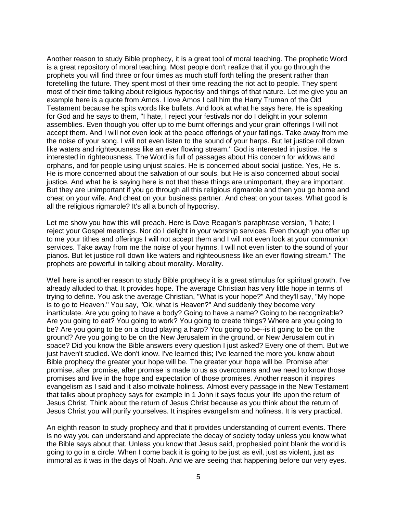Another reason to study Bible prophecy, it is a great tool of moral teaching. The prophetic Word is a great repository of moral teaching. Most people don't realize that if you go through the prophets you will find three or four times as much stuff forth telling the present rather than foretelling the future. They spent most of their time reading the riot act to people. They spent most of their time talking about religious hypocrisy and things of that nature. Let me give you an example here is a quote from Amos. I love Amos I call him the Harry Truman of the Old Testament because he spits words like bullets. And look at what he says here. He is speaking for God and he says to them, "I hate, I reject your festivals nor do I delight in your solemn assemblies. Even though you offer up to me burnt offerings and your grain offerings I will not accept them. And I will not even look at the peace offerings of your fatlings. Take away from me the noise of your song. I will not even listen to the sound of your harps. But let justice roll down like waters and righteousness like an ever flowing stream." God is interested in justice. He is interested in righteousness. The Word is full of passages about His concern for widows and orphans, and for people using unjust scales. He is concerned about social justice. Yes, He is. He is more concerned about the salvation of our souls, but He is also concerned about social justice. And what he is saying here is not that these things are unimportant, they are important. But they are unimportant if you go through all this religious rigmarole and then you go home and cheat on your wife. And cheat on your business partner. And cheat on your taxes. What good is all the religious rigmarole? It's all a bunch of hypocrisy.

Let me show you how this will preach. Here is Dave Reagan's paraphrase version, "I hate; I reject your Gospel meetings. Nor do I delight in your worship services. Even though you offer up to me your tithes and offerings I will not accept them and I will not even look at your communion services. Take away from me the noise of your hymns. I will not even listen to the sound of your pianos. But let justice roll down like waters and righteousness like an ever flowing stream." The prophets are powerful in talking about morality. Morality.

Well here is another reason to study Bible prophecy it is a great stimulus for spiritual growth. I've already alluded to that. It provides hope. The average Christian has very little hope in terms of trying to define. You ask the average Christian, "What is your hope?" And they'll say, "My hope is to go to Heaven." You say, "Ok, what is Heaven?" And suddenly they become very inarticulate. Are you going to have a body? Going to have a name? Going to be recognizable? Are you going to eat? You going to work? You going to create things? Where are you going to be? Are you going to be on a cloud playing a harp? You going to be--is it going to be on the ground? Are you going to be on the New Jerusalem in the ground, or New Jerusalem out in space? Did you know the Bible answers every question I just asked? Every one of them. But we just haven't studied. We don't know. I've learned this; I've learned the more you know about Bible prophecy the greater your hope will be. The greater your hope will be. Promise after promise, after promise, after promise is made to us as overcomers and we need to know those promises and live in the hope and expectation of those promises. Another reason it inspires evangelism as I said and it also motivate holiness. Almost every passage in the New Testament that talks about prophecy says for example in 1 John it says focus your life upon the return of Jesus Christ. Think about the return of Jesus Christ because as you think about the return of Jesus Christ you will purify yourselves. It inspires evangelism and holiness. It is very practical.

An eighth reason to study prophecy and that it provides understanding of current events. There is no way you can understand and appreciate the decay of society today unless you know what the Bible says about that. Unless you know that Jesus said, prophesied point blank the world is going to go in a circle. When I come back it is going to be just as evil, just as violent, just as immoral as it was in the days of Noah. And we are seeing that happening before our very eyes.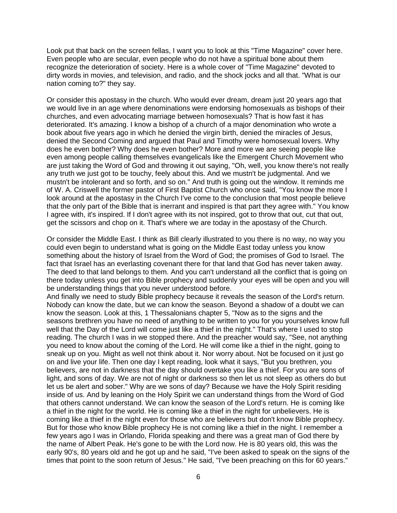Look put that back on the screen fellas, I want you to look at this "Time Magazine" cover here. Even people who are secular, even people who do not have a spiritual bone about them recognize the deterioration of society. Here is a whole cover of "Time Magazine" devoted to dirty words in movies, and television, and radio, and the shock jocks and all that. "What is our nation coming to?" they say.

Or consider this apostasy in the church. Who would ever dream, dream just 20 years ago that we would live in an age where denominations were endorsing homosexuals as bishops of their churches, and even advocating marriage between homosexuals? That is how fast it has deteriorated. It's amazing. I know a bishop of a church of a major denomination who wrote a book about five years ago in which he denied the virgin birth, denied the miracles of Jesus, denied the Second Coming and argued that Paul and Timothy were homosexual lovers. Why does he even bother? Why does he even bother? More and more we are seeing people like even among people calling themselves evangelicals like the Emergent Church Movement who are just taking the Word of God and throwing it out saying, "Oh, well, you know there's not really any truth we just got to be touchy, feely about this. And we mustn't be judgmental. And we mustn't be intolerant and so forth, and so on." And truth is going out the window. It reminds me of W. A. Criswell the former pastor of First Baptist Church who once said, "You know the more I look around at the apostasy in the Church I've come to the conclusion that most people believe that the only part of the Bible that is inerrant and inspired is that part they agree with." You know I agree with, it's inspired. If I don't agree with its not inspired, got to throw that out, cut that out, get the scissors and chop on it. That's where we are today in the apostasy of the Church.

Or consider the Middle East. I think as Bill clearly illustrated to you there is no way, no way you could even begin to understand what is going on the Middle East today unless you know something about the history of Israel from the Word of God; the promises of God to Israel. The fact that Israel has an everlasting covenant there for that land that God has never taken away. The deed to that land belongs to them. And you can't understand all the conflict that is going on there today unless you get into Bible prophecy and suddenly your eyes will be open and you will be understanding things that you never understood before.

And finally we need to study Bible prophecy because it reveals the season of the Lord's return. Nobody can know the date, but we can know the season. Beyond a shadow of a doubt we can know the season. Look at this, 1 Thessalonians chapter 5, "Now as to the signs and the seasons brethren you have no need of anything to be written to you for you yourselves know full well that the Day of the Lord will come just like a thief in the night." That's where I used to stop reading. The church I was in we stopped there. And the preacher would say, "See, not anything you need to know about the coming of the Lord. He will come like a thief in the night, going to sneak up on you. Might as well not think about it. Nor worry about. Not be focused on it just go on and live your life. Then one day I kept reading, look what it says, "But you brethren, you believers, are not in darkness that the day should overtake you like a thief. For you are sons of light, and sons of day. We are not of night or darkness so then let us not sleep as others do but let us be alert and sober." Why are we sons of day? Because we have the Holy Spirit residing inside of us. And by leaning on the Holy Spirit we can understand things from the Word of God that others cannot understand. We can know the season of the Lord's return. He is coming like a thief in the night for the world. He is coming like a thief in the night for unbelievers. He is coming like a thief in the night even for those who are believers but don't know Bible prophecy. But for those who know Bible prophecy He is not coming like a thief in the night. I remember a few years ago I was in Orlando, Florida speaking and there was a great man of God there by the name of Albert Peak. He's gone to be with the Lord now. He is 80 years old, this was the early 90's, 80 years old and he got up and he said, "I've been asked to speak on the signs of the times that point to the soon return of Jesus." He said, "I've been preaching on this for 60 years."